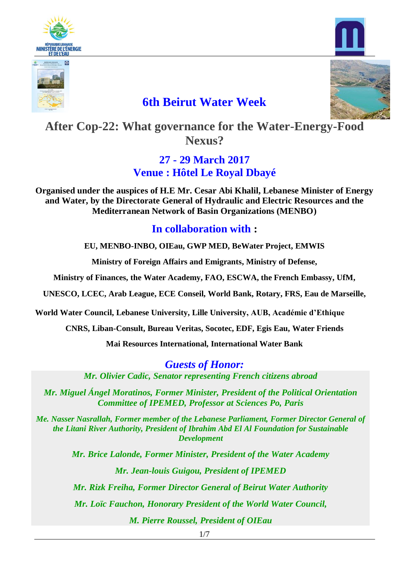





## **6th Beirut Water Week**



**After Cop-22: What governance for the Water-Energy-Food Nexus?**

#### **27 - 29 March 2017 Venue : Hôtel Le Royal Dbayé**

**Organised under the auspices of H.E Mr. Cesar Abi Khalil, Lebanese Minister of Energy and Water, by the Directorate General of Hydraulic and Electric Resources and the Mediterranean Network of Basin Organizations (MENBO)**

#### **In collaboration with :**

**EU, MENBO-INBO, OIEau, GWP MED, BeWater Project, EMWIS**

**Ministry of Foreign Affairs and Emigrants, Ministry of Defense,**

**Ministry of Finances, the Water Academy, FAO, ESCWA, the French Embassy, UfM,**

**UNESCO, LCEC, Arab League, ECE Conseil, World Bank, Rotary, FRS, Eau de Marseille,**

**World Water Council, Lebanese University, Lille University, AUB, Académie d'Ethique**

**CNRS, Liban-Consult, Bureau Veritas, Socotec, EDF, Egis Eau, Water Friends**

**Mai Resources International, International Water Bank**

*Guests of Honor: Mr. Olivier Cadic, Senator representing French citizens abroad*

*Mr. Miguel Ángel Moratinos, Former Minister, President of the Political Orientation Committee of IPEMED, Professor at Sciences Po, Paris* 

*Me. Nasser Nasrallah, Former member of the Lebanese Parliament, Former Director General of the Litani River Authority, President of Ibrahim Abd El Al Foundation for Sustainable Development*

> *Mr. Brice Lalonde, Former Minister, President of the Water Academy Mr. Jean-louis Guigou, President of IPEMED Mr. Rizk Freiha, Former Director General of Beirut Water Authority Mr. Loïc Fauchon, Honorary President of the World Water Council, M. Pierre Roussel, President of OIEau*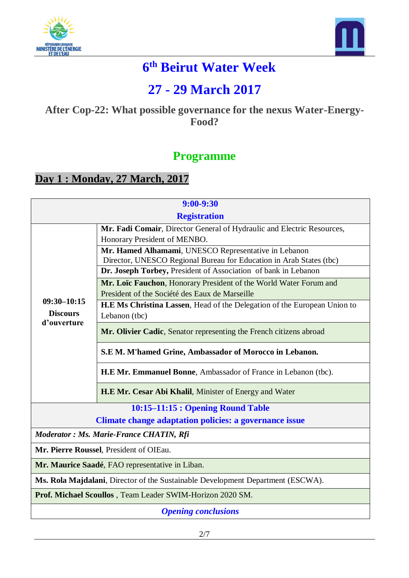



# **6 th Beirut Water Week**

# **27 - 29 March 2017**

#### **After Cop-22: What possible governance for the nexus Water-Energy-Food?**

### **Programme**

### **Day 1 : Monday, 27 March, 2017**

| $9:00 - 9:30$                                                                   |                                                                           |  |
|---------------------------------------------------------------------------------|---------------------------------------------------------------------------|--|
| <b>Registration</b>                                                             |                                                                           |  |
|                                                                                 | Mr. Fadi Comair, Director General of Hydraulic and Electric Resources,    |  |
|                                                                                 | Honorary President of MENBO.                                              |  |
|                                                                                 | Mr. Hamed Alhamami, UNESCO Representative in Lebanon                      |  |
|                                                                                 | Director, UNESCO Regional Bureau for Education in Arab States (tbc)       |  |
|                                                                                 | Dr. Joseph Torbey, President of Association of bank in Lebanon            |  |
|                                                                                 | Mr. Loïc Fauchon, Honorary President of the World Water Forum and         |  |
| $09:30 - 10:15$                                                                 | President of the Société des Eaux de Marseille                            |  |
| <b>Discours</b>                                                                 | H.E. Ms Christina Lassen, Head of the Delegation of the European Union to |  |
| d'ouverture                                                                     | Lebanon (tbc)                                                             |  |
|                                                                                 | Mr. Olivier Cadic, Senator representing the French citizens abroad        |  |
|                                                                                 | S.E.M. M'hamed Grine, Ambassador of Morocco in Lebanon.                   |  |
|                                                                                 | H.E. Mr. Emmanuel Bonne, Ambassador of France in Lebanon (tbc).           |  |
|                                                                                 | H.E.Mr. Cesar Abi Khalil, Minister of Energy and Water                    |  |
| 10:15-11:15 : Opening Round Table                                               |                                                                           |  |
| <b>Climate change adaptation policies: a governance issue</b>                   |                                                                           |  |
|                                                                                 | Moderator : Ms. Marie-France CHATIN, Rfi                                  |  |
|                                                                                 | Mr. Pierre Roussel, President of OIEau.                                   |  |
|                                                                                 | Mr. Maurice Saadé, FAO representative in Liban.                           |  |
| Ms. Rola Majdalani, Director of the Sustainable Development Department (ESCWA). |                                                                           |  |
| Prof. Michael Scoullos, Team Leader SWIM-Horizon 2020 SM.                       |                                                                           |  |
| <b>Opening conclusions</b>                                                      |                                                                           |  |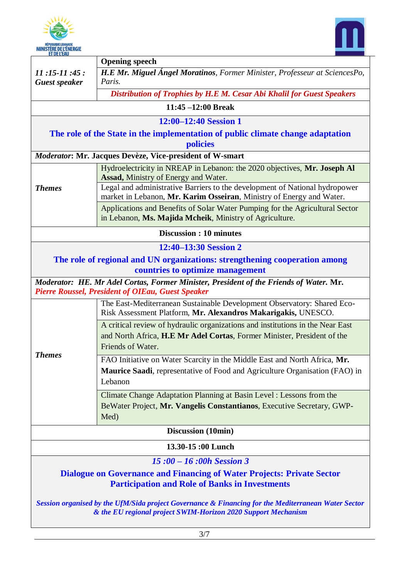



|                                                                                                                                                                      | <b>Opening speech</b>                                                                                                                                                           |  |
|----------------------------------------------------------------------------------------------------------------------------------------------------------------------|---------------------------------------------------------------------------------------------------------------------------------------------------------------------------------|--|
| $11:15-11:45:$                                                                                                                                                       | H.E. Mr. Miguel Ángel Moratinos, Former Minister, Professeur at SciencesPo,                                                                                                     |  |
| <b>Guest speaker</b>                                                                                                                                                 | Paris.                                                                                                                                                                          |  |
|                                                                                                                                                                      | Distribution of Trophies by H.E M. Cesar Abi Khalil for Guest Speakers                                                                                                          |  |
|                                                                                                                                                                      | $11:45 - 12:00$ Break                                                                                                                                                           |  |
|                                                                                                                                                                      | 12:00–12:40 Session 1                                                                                                                                                           |  |
|                                                                                                                                                                      | The role of the State in the implementation of public climate change adaptation                                                                                                 |  |
|                                                                                                                                                                      | policies                                                                                                                                                                        |  |
|                                                                                                                                                                      | Moderator: Mr. Jacques Devèze, Vice-president of W-smart                                                                                                                        |  |
|                                                                                                                                                                      | Hydroelectricity in NREAP in Lebanon: the 2020 objectives, Mr. Joseph Al<br>Assad, Ministry of Energy and Water.                                                                |  |
| <b>Themes</b>                                                                                                                                                        | Legal and administrative Barriers to the development of National hydropower<br>market in Lebanon, Mr. Karim Osseiran, Ministry of Energy and Water.                             |  |
|                                                                                                                                                                      | Applications and Benefits of Solar Water Pumping for the Agricultural Sector<br>in Lebanon, Ms. Majida Mcheik, Ministry of Agriculture.                                         |  |
|                                                                                                                                                                      | <b>Discussion: 10 minutes</b>                                                                                                                                                   |  |
|                                                                                                                                                                      | 12:40-13:30 Session 2                                                                                                                                                           |  |
|                                                                                                                                                                      | The role of regional and UN organizations: strengthening cooperation among                                                                                                      |  |
|                                                                                                                                                                      | countries to optimize management                                                                                                                                                |  |
|                                                                                                                                                                      | Moderator: HE. Mr Adel Cortas, Former Minister, President of the Friends of Water. Mr.                                                                                          |  |
|                                                                                                                                                                      | <b>Pierre Roussel, President of OIEau, Guest Speaker</b>                                                                                                                        |  |
|                                                                                                                                                                      | The East-Mediterranean Sustainable Development Observatory: Shared Eco-<br>Risk Assessment Platform, Mr. Alexandros Makarigakis, UNESCO.                                        |  |
|                                                                                                                                                                      | A critical review of hydraulic organizations and institutions in the Near East<br>and North Africa, H.E. Mr Adel Cortas, Former Minister, President of the<br>Friends of Water. |  |
| <b>Themes</b>                                                                                                                                                        | FAO Initiative on Water Scarcity in the Middle East and North Africa, Mr.                                                                                                       |  |
|                                                                                                                                                                      | <b>Maurice Saadi</b> , representative of Food and Agriculture Organisation (FAO) in<br>Lebanon                                                                                  |  |
|                                                                                                                                                                      | Climate Change Adaptation Planning at Basin Level : Lessons from the                                                                                                            |  |
|                                                                                                                                                                      | BeWater Project, Mr. Vangelis Constantianos, Executive Secretary, GWP-<br>Med)                                                                                                  |  |
|                                                                                                                                                                      | <b>Discussion</b> (10min)                                                                                                                                                       |  |
| 13.30-15:00 Lunch                                                                                                                                                    |                                                                                                                                                                                 |  |
|                                                                                                                                                                      | $15:00 - 16:00h$ Session 3                                                                                                                                                      |  |
| <b>Dialogue on Governance and Financing of Water Projects: Private Sector</b><br><b>Participation and Role of Banks in Investments</b>                               |                                                                                                                                                                                 |  |
| Session organised by the UfM/Sida project Governance & Financing for the Mediterranean Water Sector<br>& the EU regional project SWIM-Horizon 2020 Support Mechanism |                                                                                                                                                                                 |  |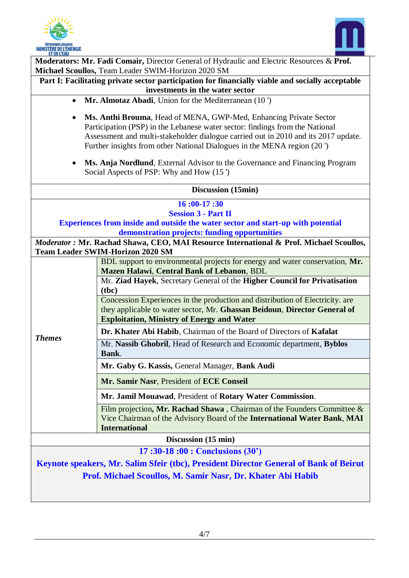



| ET DE L'EAU                                                                                                                                                                                                                                                                                                                    | Moderators: Mr. Fadi Comair, Director General of Hydraulic and Electric Resources & Prof.                                                                                                                       |  |
|--------------------------------------------------------------------------------------------------------------------------------------------------------------------------------------------------------------------------------------------------------------------------------------------------------------------------------|-----------------------------------------------------------------------------------------------------------------------------------------------------------------------------------------------------------------|--|
| Michael Scoullos, Team Leader SWIM-Horizon 2020 SM                                                                                                                                                                                                                                                                             |                                                                                                                                                                                                                 |  |
| Part I: Facilitating private sector participation for financially viable and socially acceptable<br>investments in the water sector                                                                                                                                                                                            |                                                                                                                                                                                                                 |  |
| Mr. Almotaz Abadi, Union for the Mediterranean (10)<br>$\bullet$                                                                                                                                                                                                                                                               |                                                                                                                                                                                                                 |  |
| Ms. Anthi Brouma, Head of MENA, GWP-Med, Enhancing Private Sector<br>$\bullet$<br>Participation (PSP) in the Lebanese water sector: findings from the National<br>Assessment and multi-stakeholder dialogue carried out in 2010 and its 2017 update.<br>Further insights from other National Dialogues in the MENA region (20) |                                                                                                                                                                                                                 |  |
| Ms. Anja Nordlund, External Advisor to the Governance and Financing Program<br>٠<br>Social Aspects of PSP: Why and How (15)                                                                                                                                                                                                    |                                                                                                                                                                                                                 |  |
| Discussion (15min)                                                                                                                                                                                                                                                                                                             |                                                                                                                                                                                                                 |  |
| 16:00-17:30                                                                                                                                                                                                                                                                                                                    |                                                                                                                                                                                                                 |  |
| <b>Session 3 - Part II</b>                                                                                                                                                                                                                                                                                                     |                                                                                                                                                                                                                 |  |
|                                                                                                                                                                                                                                                                                                                                | <b>Experiences from inside and outside the water sector and start-up with potential</b><br>demonstration projects: funding opportunities                                                                        |  |
|                                                                                                                                                                                                                                                                                                                                | Moderator : Mr. Rachad Shawa, CEO, MAI Resource International & Prof. Michael Scoullos,                                                                                                                         |  |
|                                                                                                                                                                                                                                                                                                                                | <b>Team Leader SWIM-Horizon 2020 SM</b>                                                                                                                                                                         |  |
|                                                                                                                                                                                                                                                                                                                                | BDL support to environmental projects for energy and water conservation, Mr.<br>Mazen Halawi, Central Bank of Lebanon, BDL                                                                                      |  |
|                                                                                                                                                                                                                                                                                                                                | Mr. Ziad Hayek, Secretary General of the Higher Council for Privatisation<br>(tbc)                                                                                                                              |  |
|                                                                                                                                                                                                                                                                                                                                | Concession Experiences in the production and distribution of Electricity. are<br>they applicable to water sector, Mr. Ghassan Beidoun, Director General of<br><b>Exploitation, Ministry of Energy and Water</b> |  |
|                                                                                                                                                                                                                                                                                                                                | Dr. Khater Abi Habib, Chairman of the Board of Directors of Kafalat                                                                                                                                             |  |
| <b>Themes</b>                                                                                                                                                                                                                                                                                                                  | Mr. Nassib Ghobril, Head of Research and Economic department, Byblos<br>Bank.                                                                                                                                   |  |
|                                                                                                                                                                                                                                                                                                                                | Mr. Gaby G. Kassis, General Manager, Bank Audi                                                                                                                                                                  |  |
|                                                                                                                                                                                                                                                                                                                                | Mr. Samir Nasr, President of ECE Conseil                                                                                                                                                                        |  |
|                                                                                                                                                                                                                                                                                                                                | Mr. Jamil Mouawad, President of Rotary Water Commission.                                                                                                                                                        |  |
|                                                                                                                                                                                                                                                                                                                                | Film projection, Mr. Rachad Shawa, Chairman of the Founders Committee $\&$<br>Vice Chairman of the Advisory Board of the International Water Bank, MAI<br><b>International</b>                                  |  |
| Discussion (15 min)                                                                                                                                                                                                                                                                                                            |                                                                                                                                                                                                                 |  |
| $17:30-18:00: Conclusions (30')$<br>Keynote speakers, Mr. Salim Sfeir (tbc), President Director General of Bank of Beirut<br>Prof. Michael Scoullos, M. Samir Nasr, Dr. Khater Abi Habib                                                                                                                                       |                                                                                                                                                                                                                 |  |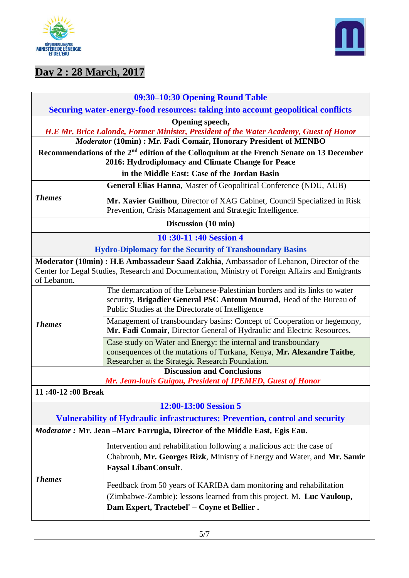



# **Day 2 : 28 March, 2017**

| 09:30-10:30 Opening Round Table                                                                                                                                                |                                                                                                                                                                                                         |  |  |
|--------------------------------------------------------------------------------------------------------------------------------------------------------------------------------|---------------------------------------------------------------------------------------------------------------------------------------------------------------------------------------------------------|--|--|
| Securing water-energy-food resources: taking into account geopolitical conflicts                                                                                               |                                                                                                                                                                                                         |  |  |
| Opening speech,<br>H.E. Mr. Brice Lalonde, Former Minister, President of the Water Academy, Guest of Honor<br>Moderator (10min) : Mr. Fadi Comair, Honorary President of MENBO |                                                                                                                                                                                                         |  |  |
| Recommendations of the 2 <sup>nd</sup> edition of the Colloquium at the French Senate on 13 December<br>2016: Hydrodiplomacy and Climate Change for Peace                      |                                                                                                                                                                                                         |  |  |
| in the Middle East: Case of the Jordan Basin                                                                                                                                   |                                                                                                                                                                                                         |  |  |
| <b>Themes</b>                                                                                                                                                                  | General Elias Hanna, Master of Geopolitical Conference (NDU, AUB)                                                                                                                                       |  |  |
|                                                                                                                                                                                | Mr. Xavier Guilhou, Director of XAG Cabinet, Council Specialized in Risk<br>Prevention, Crisis Management and Strategic Intelligence.                                                                   |  |  |
| Discussion (10 min)                                                                                                                                                            |                                                                                                                                                                                                         |  |  |
| 10:30-11:40 Session 4                                                                                                                                                          |                                                                                                                                                                                                         |  |  |
|                                                                                                                                                                                | <b>Hydro-Diplomacy for the Security of Transboundary Basins</b>                                                                                                                                         |  |  |
| of Lebanon.                                                                                                                                                                    | Moderator (10min): H.E Ambassadeur Saad Zakhia, Ambassador of Lebanon, Director of the<br>Center for Legal Studies, Research and Documentation, Ministry of Foreign Affairs and Emigrants               |  |  |
| <b>Themes</b>                                                                                                                                                                  | The demarcation of the Lebanese-Palestinian borders and its links to water<br>security, Brigadier General PSC Antoun Mourad, Head of the Bureau of<br>Public Studies at the Directorate of Intelligence |  |  |
|                                                                                                                                                                                | Management of transboundary basins: Concept of Cooperation or hegemony,<br>Mr. Fadi Comair, Director General of Hydraulic and Electric Resources.                                                       |  |  |
|                                                                                                                                                                                | Case study on Water and Energy: the internal and transboundary<br>consequences of the mutations of Turkana, Kenya, Mr. Alexandre Taithe,<br>Researcher at the Strategic Research Foundation.            |  |  |
|                                                                                                                                                                                | <b>Discussion and Conclusions</b><br>Mr. Jean-louis Guigou, President of IPEMED, Guest of Honor                                                                                                         |  |  |
| 11:40-12:00 Break                                                                                                                                                              |                                                                                                                                                                                                         |  |  |
| 12:00-13:00 Session 5<br><b>Vulnerability of Hydraulic infrastructures: Prevention, control and security</b>                                                                   |                                                                                                                                                                                                         |  |  |
|                                                                                                                                                                                | Moderator : Mr. Jean -Marc Farrugia, Director of the Middle East, Egis Eau.                                                                                                                             |  |  |
| <b>Themes</b>                                                                                                                                                                  | Intervention and rehabilitation following a malicious act: the case of<br>Chabrouh, Mr. Georges Rizk, Ministry of Energy and Water, and Mr. Samir<br><b>Faysal LibanConsult.</b>                        |  |  |
|                                                                                                                                                                                | Feedback from 50 years of KARIBA dam monitoring and rehabilitation<br>(Zimbabwe-Zambie): lessons learned from this project. M. Luc Vauloup,<br>Dam Expert, Tractebel' - Coyne et Bellier.               |  |  |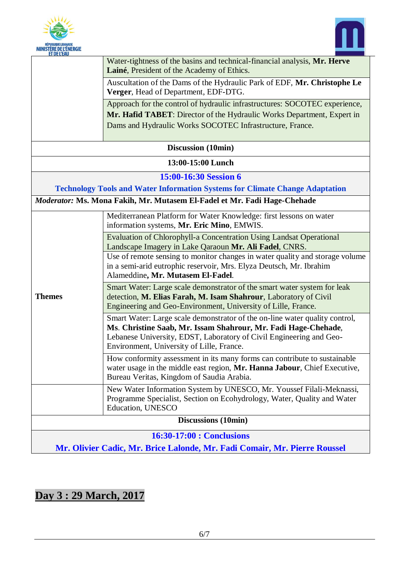



| EI DE L'EAU                                                               |                                                                                                                                                                                                                                                                   |  |
|---------------------------------------------------------------------------|-------------------------------------------------------------------------------------------------------------------------------------------------------------------------------------------------------------------------------------------------------------------|--|
|                                                                           | Water-tightness of the basins and technical-financial analysis, Mr. Herve<br>Lainé, President of the Academy of Ethics.                                                                                                                                           |  |
|                                                                           | Auscultation of the Dams of the Hydraulic Park of EDF, Mr. Christophe Le<br>Verger, Head of Department, EDF-DTG.                                                                                                                                                  |  |
|                                                                           | Approach for the control of hydraulic infrastructures: SOCOTEC experience,                                                                                                                                                                                        |  |
|                                                                           | Mr. Hafid TABET: Director of the Hydraulic Works Department, Expert in                                                                                                                                                                                            |  |
|                                                                           | Dams and Hydraulic Works SOCOTEC Infrastructure, France.                                                                                                                                                                                                          |  |
| Discussion (10min)                                                        |                                                                                                                                                                                                                                                                   |  |
| 13:00-15:00 Lunch                                                         |                                                                                                                                                                                                                                                                   |  |
| 15:00-16:30 Session 6                                                     |                                                                                                                                                                                                                                                                   |  |
|                                                                           | <b>Technology Tools and Water Information Systems for Climate Change Adaptation</b>                                                                                                                                                                               |  |
|                                                                           | Moderator: Ms. Mona Fakih, Mr. Mutasem El-Fadel et Mr. Fadi Hage-Chehade                                                                                                                                                                                          |  |
|                                                                           | Mediterranean Platform for Water Knowledge: first lessons on water<br>information systems, Mr. Eric Mino, EMWIS.                                                                                                                                                  |  |
| <b>Themes</b>                                                             | <b>Evaluation of Chlorophyll-a Concentration Using Landsat Operational</b><br>Landscape Imagery in Lake Qaraoun Mr. Ali Fadel, CNRS.                                                                                                                              |  |
|                                                                           | Use of remote sensing to monitor changes in water quality and storage volume<br>in a semi-arid eutrophic reservoir, Mrs. Elyza Deutsch, Mr. Ibrahim<br>Alameddine, Mr. Mutasem El-Fadel.                                                                          |  |
|                                                                           | Smart Water: Large scale demonstrator of the smart water system for leak<br>detection, M. Elias Farah, M. Isam Shahrour, Laboratory of Civil<br>Engineering and Geo-Environment, University of Lille, France.                                                     |  |
|                                                                           | Smart Water: Large scale demonstrator of the on-line water quality control,<br>Ms. Christine Saab, Mr. Issam Shahrour, Mr. Fadi Hage-Chehade,<br>Lebanese University, EDST, Laboratory of Civil Engineering and Geo-<br>Environment, University of Lille, France. |  |
|                                                                           | How conformity assessment in its many forms can contribute to sustainable<br>water usage in the middle east region, Mr. Hanna Jabour, Chief Executive,<br>Bureau Veritas, Kingdom of Saudia Arabia.                                                               |  |
|                                                                           | New Water Information System by UNESCO, Mr. Youssef Filali-Meknassi,<br>Programme Specialist, Section on Ecohydrology, Water, Quality and Water<br><b>Education, UNESCO</b>                                                                                       |  |
| <b>Discussions (10min)</b>                                                |                                                                                                                                                                                                                                                                   |  |
| 16:30-17:00 : Conclusions                                                 |                                                                                                                                                                                                                                                                   |  |
| Mr. Olivier Cadic, Mr. Brice Lalonde, Mr. Fadi Comair, Mr. Pierre Roussel |                                                                                                                                                                                                                                                                   |  |

# **Day 3 : 29 March, 2017**